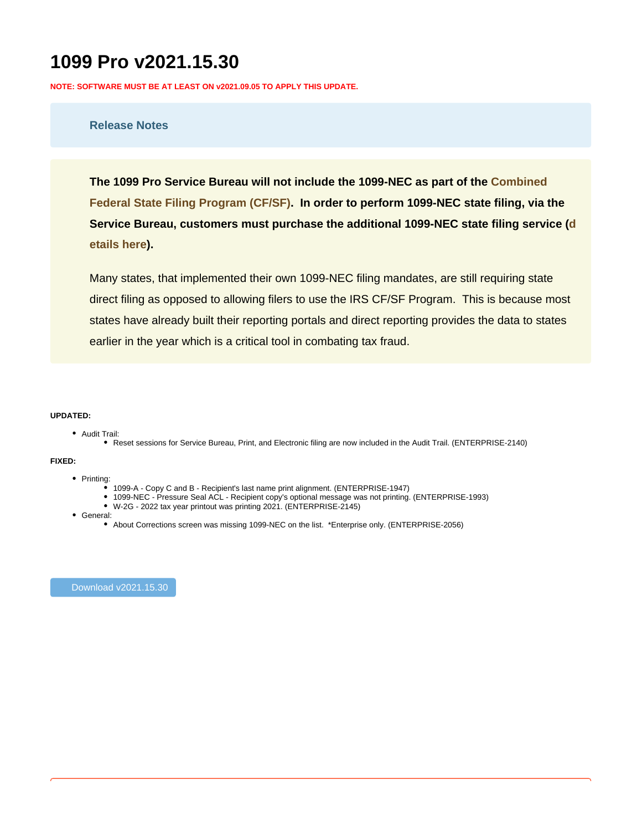# **1099 Pro v2021.15.30**

**NOTE: SOFTWARE MUST BE AT LEAST ON v2021.09.05 TO APPLY THIS UPDATE.**

# **Release Notes**

**The 1099 Pro Service Bureau will not include the 1099-NEC as part of the [Combined](https://www.1099pro.com/serv_CFSP.asp)  [Federal State Filing Program \(CF/SF\)](https://www.1099pro.com/serv_CFSP.asp). In order to perform 1099-NEC state filing, via the Service Bureau, customers must purchase the additional 1099-NEC state filing service ([d](https://wiki.1099pro.com/display/PDWA/Service+Bureau+-+1099-NEC+Reporting+Details) [etails here\)](https://wiki.1099pro.com/display/PDWA/Service+Bureau+-+1099-NEC+Reporting+Details).**

Many states, that implemented their own 1099-NEC filing mandates, are still requiring state direct filing as opposed to allowing filers to use the IRS CF/SF Program. This is because most states have already built their reporting portals and direct reporting provides the data to states earlier in the year which is a critical tool in combating tax fraud.

## **UPDATED:**

- Audit Trail:
	- Reset sessions for Service Bureau, Print, and Electronic filing are now included in the Audit Trail. (ENTERPRISE-2140)

#### **FIXED:**

- Printing:
	- 1099-A Copy C and B Recipient's last name print alignment. (ENTERPRISE-1947)
	- 1099-NEC Pressure Seal ACL Recipient copy's optional message was not printing. (ENTERPRISE-1993)
	- W-2G 2022 tax year printout was printing 2021. (ENTERPRISE-2145)
- General:
	- About Corrections screen was missing 1099-NEC on the list. \*Enterprise only. (ENTERPRISE-2056)

[Download v2021.15.30](https://host.1099pro.com/ftp/product/2021/1099_Pro/WebUpdate/Patch1099Pro_SP4%20(GOLD%20v2021.15.30).EXE)